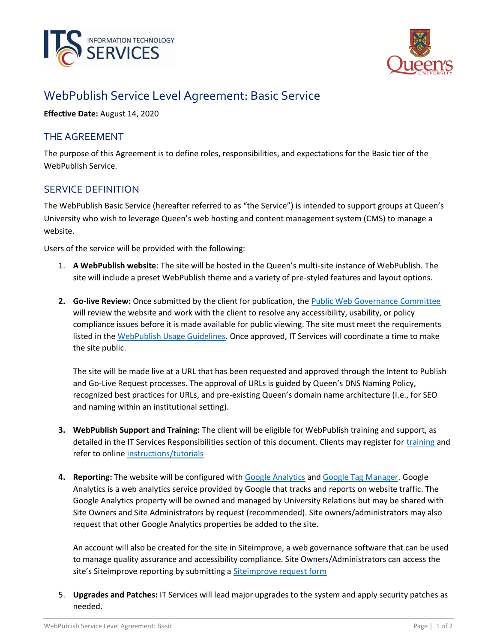



# WebPublish Service Level Agreement: Basic Service

**Effective Date:** August 14, 2020

## THE AGREEMENT

The purpose of this Agreement is to define roles, responsibilities, and expectations for the Basic tier of the WebPublish Service.

## SERVICE DEFINITION

The WebPublish Basic Service (hereafter referred to as "the Service") is intended to support groups at Queen's University who wish to leverage Queen's web hosting and content management system (CMS) to manage a website.

Users of the service will be provided with the following:

- 1. **A WebPublish website**: The site will be hosted in the Queen's multi-site instance of WebPublish. The site will include a preset WebPublish theme and a variety of pre-styled features and layout options.
- **2. Go-live Review:** Once submitted by the client for publication, the [Public Web Governance Committee](https://queensu.ca/webpublish/about/governance) will review the website and work with the client to resolve any accessibility, usability, or policy compliance issues before it is made available for public viewing. The site must meet the requirements listed in the [WebPublish Usage Guidelines.](https://queensu.ca/webpublish/about/usage-guidelines) Once approved, IT Services will coordinate a time to make the site public.

The site will be made live at a URL that has been requested and approved through the Intent to Publish and Go-Live Request processes. The approval of URLs is guided by Queen's DNS Naming Policy, recognized best practices for URLs, and pre-existing Queen's domain name architecture (I.e., for SEO and naming within an institutional setting).

- **3. WebPublish Support and Training:** The client will be eligible for WebPublish training and support, as detailed in the IT Services Responsibilities section of this document. Clients may register for [training](https://queensu.ca/webpublish/training) and refer to online [instructions/tutorials](https://queensu.ca/webpublish/tutorials)
- **4. Reporting:** The website will be configured with [Google Analytics](https://queensu.ca/webpublish/tutorials/google-analytics) and [Google Tag Manager.](https://queensu.ca/webpublish/tutorials/google-tag-manager) Google Analytics is a web analytics service provided by Google that tracks and reports on website traffic. The Google Analytics property will be owned and managed by University Relations but may be shared with Site Owners and Site Administrators by request (recommended). Site owners/administrators may also request that other Google Analytics properties be added to the site.

An account will also be created for the site in Siteimprove, a web governance software that can be used to manage quality assurance and accessibility compliance. Site Owners/Administrators can access the site's Siteimprove reporting by submitting a [Siteimprove request form](https://queensu.service-now.com/esm/?id=sc_cat_item&sys_id=ce07c1451b3704d0f437a9fbbc4bcb8c)

5. **Upgrades and Patches:** IT Services will lead major upgrades to the system and apply security patches as needed.